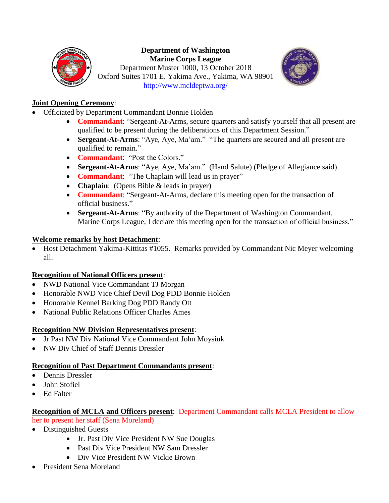

#### **Department of Washington Marine Corps League**

Department Muster 1000, 13 October 2018 Oxford Suites 1701 E. Yakima Ave., Yakima, WA 98901 <http://www.mcldeptwa.org/>



# **Joint Opening Ceremony**:

- Officiated by Department Commandant Bonnie Holden
	- **Commandant**: "Sergeant-At-Arms, secure quarters and satisfy yourself that all present are qualified to be present during the deliberations of this Department Session."
	- **Sergeant-At-Arms**: "Aye, Aye, Ma'am." "The quarters are secured and all present are qualified to remain."
	- **Commandant**: "Post the Colors."
	- **Sergeant-At-Arms**: "Aye, Aye, Ma'am." (Hand Salute) (Pledge of Allegiance said)
	- **Commandant**: "The Chaplain will lead us in prayer"
	- **Chaplain**: (Opens Bible & leads in prayer)
	- **Commandant**: "Sergeant-At-Arms, declare this meeting open for the transaction of official business."
	- **Sergeant-At-Arms**: "By authority of the Department of Washington Commandant, Marine Corps League, I declare this meeting open for the transaction of official business."

# **Welcome remarks by host Detachment**:

• Host Detachment Yakima-Kittitas #1055. Remarks provided by Commandant Nic Meyer welcoming all.

# **Recognition of National Officers present**:

- NWD National Vice Commandant TJ Morgan
- Honorable NWD Vice Chief Devil Dog PDD Bonnie Holden
- Honorable Kennel Barking Dog PDD Randy Ott
- National Public Relations Officer Charles Ames

# **Recognition NW Division Representatives present**:

- Jr Past NW Div National Vice Commandant John Moysiuk
- NW Div Chief of Staff Dennis Dressler

### **Recognition of Past Department Commandants present**:

- Dennis Dressler
- John Stofiel
- Ed Falter

### **Recognition of MCLA and Officers present**: Department Commandant calls MCLA President to allow her to present her staff (Sena Moreland)

- Distinguished Guests
	- Jr. Past Div Vice President NW Sue Douglas
	- Past Div Vice President NW Sam Dressler
	- Div Vice President NW Vickie Brown
- President Sena Moreland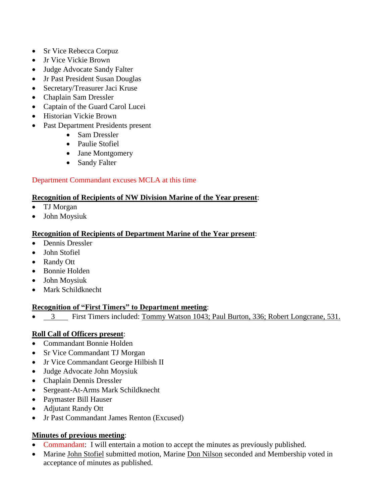- Sr Vice Rebecca Corpuz
- Jr Vice Vickie Brown
- Judge Advocate Sandy Falter
- Jr Past President Susan Douglas
- Secretary/Treasurer Jaci Kruse
- Chaplain Sam Dressler
- Captain of the Guard Carol Lucei
- Historian Vickie Brown
- Past Department Presidents present
	- Sam Dressler
	- Paulie Stofiel
	- Jane Montgomery
	- Sandy Falter

# Department Commandant excuses MCLA at this time

### **Recognition of Recipients of NW Division Marine of the Year present**:

- TJ Morgan
- John Moysiuk

# **Recognition of Recipients of Department Marine of the Year present**:

- Dennis Dressler
- John Stofiel
- Randy Ott
- Bonnie Holden
- John Moysiuk
- Mark Schildknecht

# **Recognition of "First Timers" to Department meeting**:

• 3 First Timers included: Tommy Watson 1043; Paul Burton, 336; Robert Longcrane, 531.

# **Roll Call of Officers present**:

- Commandant Bonnie Holden
- Sr Vice Commandant TJ Morgan
- Jr Vice Commandant George Hilbish II
- Judge Advocate John Moysiuk
- Chaplain Dennis Dressler
- Sergeant-At-Arms Mark Schildknecht
- Paymaster Bill Hauser
- Adjutant Randy Ott
- Jr Past Commandant James Renton (Excused)

# **Minutes of previous meeting**:

- Commandant: I will entertain a motion to accept the minutes as previously published.
- Marine John Stofiel submitted motion, Marine Don Nilson seconded and Membership voted in acceptance of minutes as published.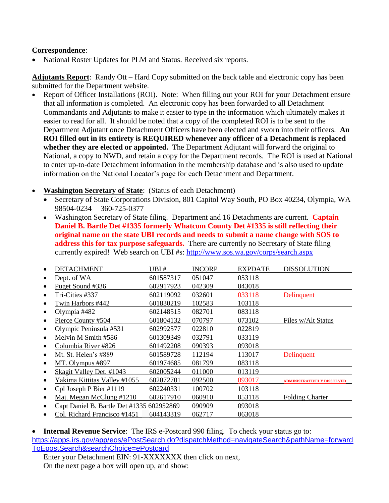### **Correspondence**:

• National Roster Updates for PLM and Status. Received six reports.

**Adjutants Report**: Randy Ott – Hard Copy submitted on the back table and electronic copy has been submitted for the Department website.

- Report of Officer Installations (ROI). Note: When filling out your ROI for your Detachment ensure that all information is completed. An electronic copy has been forwarded to all Detachment Commandants and Adjutants to make it easier to type in the information which ultimately makes it easier to read for all. It should be noted that a copy of the completed ROI is to be sent to the Department Adjutant once Detachment Officers have been elected and sworn into their officers. **An ROI filled out in its entirety is REQUIRED whenever any officer of a Detachment is replaced whether they are elected or appointed.** The Department Adjutant will forward the original to National, a copy to NWD, and retain a copy for the Department records. The ROI is used at National to enter up-to-date Detachment information in the membership database and is also used to update information on the National Locator's page for each Detachment and Department.
- **Washington Secretary of State**: (Status of each Detachment)
	- Secretary of State Corporations Division, 801 Capitol Way South, PO Box 40234, Olympia, WA 98504-0234 360-725-0377
	- Washington Secretary of State filing. Department and 16 Detachments are current. **Captain Daniel B. Bartle Det #1335 formerly Whatcom County Det #1335 is still reflecting their original name on the state UBI records and needs to submit a name change with SOS to address this for tax purpose safeguards.** There are currently no Secretary of State filing currently expired! Web search on UBI #s:<http://www.sos.wa.gov/corps/search.aspx>

| DETACHMENT                                | UBI #     | <b>INCORP</b> | <b>EXPDATE</b> | <b>DISSOLUTION</b>                |
|-------------------------------------------|-----------|---------------|----------------|-----------------------------------|
| Dept. of WA                               | 601587317 | 051047        | 053118         |                                   |
| Puget Sound #336                          | 602917923 | 042309        | 043018         |                                   |
| Tri-Cities #337                           | 602119092 | 032601        | 033118         | Delinquent                        |
| Twin Harbors #442                         | 601830219 | 102583        | 103118         |                                   |
| Olympia #482                              | 602148515 | 082701        | 083118         |                                   |
| Pierce County #504                        | 601804132 | 070797        | 073102         | Files w/Alt Status                |
| Olympic Peninsula #531                    | 602992577 | 022810        | 022819         |                                   |
| Melvin M Smith #586                       | 601309349 | 032791        | 033119         |                                   |
| Columbia River #826                       | 601492208 | 090393        | 093018         |                                   |
| Mt. St. Helen's #889                      | 601589728 | 112194        | 113017         | Delinquent                        |
| MT. Olympus #897                          | 601974685 | 081799        | 083118         |                                   |
| Skagit Valley Det. #1043                  | 602005244 | 011000        | 013119         |                                   |
| Yakima Kittitas Valley #1055              | 602072701 | 092500        | 093017         | <b>ADMINISTRATIVELY DISSOLVED</b> |
| Cpl Joseph P Bier #1119                   | 602240331 | 100702        | 103118         |                                   |
| Maj. Megan McClung #1210<br>٠             | 602617910 | 060910        | 053118         | <b>Folding Charter</b>            |
| Capt Daniel B. Bartle Det #1335 602952869 |           | 090909        | 093018         |                                   |
| Col. Richard Francisco #1451              | 604143319 | 062717        | 063018         |                                   |

• **Internal Revenue Service**: The IRS e-Postcard 990 filing. To check your status go to: [https://apps.irs.gov/app/eos/ePostSearch.do?dispatchMethod=navigateSearch&pathName=forward](https://apps.irs.gov/app/eos/ePostSearch.do?dispatchMethod=navigateSearch&pathName=forwardToEpostSearch&searchChoice=ePostcard) [ToEpostSearch&searchChoice=ePostcard](https://apps.irs.gov/app/eos/ePostSearch.do?dispatchMethod=navigateSearch&pathName=forwardToEpostSearch&searchChoice=ePostcard)

Enter your Detachment EIN: 91-XXXXXXX then click on next, On the next page a box will open up, and show: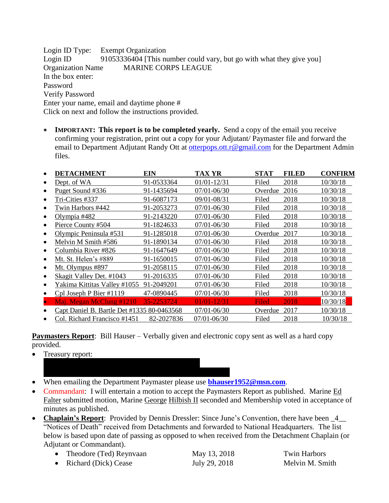Login ID Type: Exempt Organization Login ID 91053336404 [This number could vary, but go with what they give you] Organization Name MARINE CORPS LEAGUE In the box enter: Password Verify Password Enter your name, email and daytime phone # Click on next and follow the instructions provided.

• **IMPORTANT: This report is to be completed yearly.** Send a copy of the email you receive confirming your registration, print out a copy for your Adjutant/ Paymaster file and forward the email to Department Adjutant Randy Ott at [otterpops.ott.r@gmail.com](mailto:moysiukjl@hotmail.com) for the Department Admin files.

| <b>DETACHMENT</b>                          | EIN        | <b>TAX YR</b>   | <b>STAT</b> | <b>FILED</b> | <b>CONFIRM</b> |
|--------------------------------------------|------------|-----------------|-------------|--------------|----------------|
| Dept. of WA                                | 91-0533364 | 01/01-12/31     | Filed       | 2018         | 10/30/18       |
| Puget Sound #336                           | 91-1435694 | 07/01-06/30     | Overdue     | 2016         | 10/30/18       |
| Tri-Cities #337                            | 91-6087173 | 09/01-08/31     | Filed       | 2018         | 10/30/18       |
| Twin Harbors #442                          | 91-2053273 | 07/01-06/30     | Filed       | 2018         | 10/30/18       |
| Olympia #482                               | 91-2143220 | 07/01-06/30     | Filed       | 2018         | 10/30/18       |
| Pierce County #504                         | 91-1824633 | 07/01-06/30     | Filed       | 2018         | 10/30/18       |
| Olympic Peninsula #531                     | 91-1285018 | 07/01-06/30     | Overdue     | 2017         | 10/30/18       |
| Melvin M Smith #586                        | 91-1890134 | 07/01-06/30     | Filed       | 2018         | 10/30/18       |
| Columbia River #826                        | 91-1647649 | 07/01-06/30     | Filed       | 2018         | 10/30/18       |
| Mt. St. Helen's #889                       | 91-1650015 | 07/01-06/30     | Filed       | 2018         | 10/30/18       |
| Mt. Olympus #897                           | 91-2058115 | 07/01-06/30     | Filed       | 2018         | 10/30/18       |
| Skagit Valley Det. #1043                   | 91-2016335 | 07/01-06/30     | Filed       | 2018         | 10/30/18       |
| Yakima Kittitas Valley #1055               | 91-2049201 | 07/01-06/30     | Filed       | 2018         | 10/30/18       |
| Cpl Joseph P Bier #1119                    | 47-0890445 | 07/01-06/30     | Filed       | 2018         | 10/30/18       |
| Maj. Megan McClung #1210                   | 35-2253724 | $01/01 - 12/31$ | Filed       | 2018         | 10/30/18       |
| Capt Daniel B. Bartle Det #1335 80-0463568 |            | 07/01-06/30     | Overdue     | 2017         | 10/30/18       |
| Col. Richard Francisco #1451               | 82-2027836 | 07/01-06/30     | Filed       | 2018         | 10/30/18       |

**Paymasters Report**: Bill Hauser – Verbally given and electronic copy sent as well as a hard copy provided.

- Treasury report:
- When emailing the Department Paymaster please use **[bhauser1952@msn.com](mailto:bhauser1952@msn.com)**.
- Commandant: I will entertain a motion to accept the Paymasters Report as published. Marine Ed Falter submitted motion, Marine George Hilbish II seconded and Membership voted in acceptance of minutes as published.
- **Chaplain's Report**: Provided by Dennis Dressler: Since June's Convention, there have been  $\frac{4}{ }$ "Notices of Death" received from Detachments and forwarded to National Headquarters. The list below is based upon date of passing as opposed to when received from the Detachment Chaplain (or Adjutant or Commandant).
	- Theodore (Ted) Reynvaan May 13, 2018 Twin Harbors
		-

• Richard (Dick) Cease July 29, 2018 Melvin M. Smith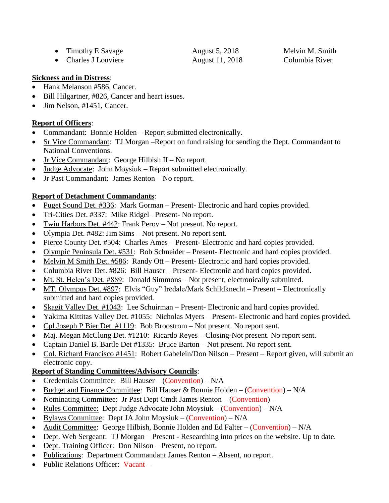| • Timothy E Savage   | August 5, 2018  | Melvin M. Smith |
|----------------------|-----------------|-----------------|
| • Charles J Louviere | August 11, 2018 | Columbia River  |

Melvin M. Smith

### **Sickness and in Distress**:

- Hank Melanson #586, Cancer.
- Bill Hilgartner, #826, Cancer and heart issues.
- Jim Nelson, #1451, Cancer.

# **Report of Officers**:

- Commandant: Bonnie Holden Report submitted electronically.
- Sr Vice Commandant: TJ Morgan –Report on fund raising for sending the Dept. Commandant to National Conventions.
- Jr Vice Commandant: George Hilbish II No report.
- Judge Advocate: John Moysiuk Report submitted electronically.
- Jr Past Commandant: James Renton No report.

# **Report of Detachment Commandants**:

- Puget Sound Det. #336: Mark Gorman Present- Electronic and hard copies provided.
- Tri-Cities Det. #337: Mike Ridgel –Present- No report.
- Twin Harbors Det. #442: Frank Perov Not present. No report.
- Olympia Det. #482: Jim Sims Not present. No report sent.
- Pierce County Det. #504: Charles Ames Present- Electronic and hard copies provided.
- Olympic Peninsula Det. #531: Bob Schneider Present- Electronic and hard copies provided.
- Melvin M Smith Det. #586: Randy Ott Present- Electronic and hard copies provided.
- Columbia River Det. #826: Bill Hauser Present- Electronic and hard copies provided.
- Mt. St. Helen's Det. #889: Donald Simmons Not present, electronically submitted.
- MT. Olympus Det. #897: Elvis "Guy" Iredale/Mark Schildknecht Present Electronically submitted and hard copies provided.
- Skagit Valley Det. #1043: Lee Schuirman Present- Electronic and hard copies provided.
- Yakima Kittitas Valley Det. #1055: Nicholas Myers Present- Electronic and hard copies provided.
- Cpl Joseph P Bier Det. #1119: Bob Broostrom Not present. No report sent.
- Maj. Megan McClung Det.  $\#1210$ : Ricardo Reyes Closing-Not present. No report sent.
- Captain Daniel B. Bartle Det #1335: Bruce Barton Not present. No report sent.
- Col. Richard Francisco #1451: Robert Gabelein/Don Nilson Present Report given, will submit an electronic copy.

# **Report of Standing Committees/Advisory Councils**:

- Credentials Committee: Bill Hauser (Convention) N/A
- Budget and Finance Committee: Bill Hauser & Bonnie Holden (Convention)  $N/A$
- Nominating Committee: Jr Past Dept Cmdt James Renton (Convention) –
- Rules Committee: Dept Judge Advocate John Moysiuk (Convention) N/A
- Bylaws Committee: Dept JA John Moysiuk (Convention)  $N/A$
- Audit Committee: George Hilbish, Bonnie Holden and Ed Falter (Convention) N/A
- Dept. Web Sergeant: TJ Morgan Present Researching into prices on the website. Up to date.
- Dept. Training Officer: Don Nilson Present, no report.
- Publications: Department Commandant James Renton Absent, no report.
- Public Relations Officer: Vacant –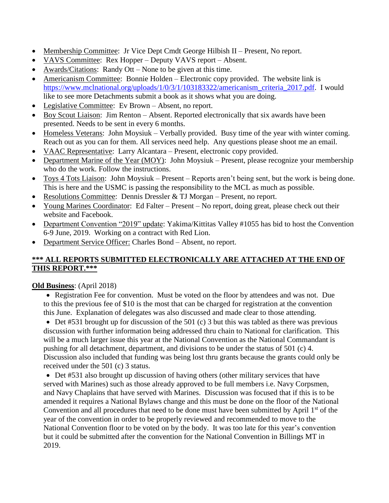- Membership Committee: Jr Vice Dept Cmdt George Hilbish II Present, No report.
- VAVS Committee: Rex Hopper Deputy VAVS report Absent.
- Awards/Citations: Randy Ott None to be given at this time.
- Americanism Committee: Bonnie Holden Electronic copy provided. The website link is [https://www.mclnational.org/uploads/1/0/3/1/103183322/americanism\\_criteria\\_2017.pdf.](https://www.mclnational.org/uploads/1/0/3/1/103183322/americanism_criteria_2017.pdf) I would like to see more Detachments submit a book as it shows what you are doing.
- Legislative Committee: Ev Brown Absent, no report.
- Boy Scout Liaison: Jim Renton Absent. Reported electronically that six awards have been presented. Needs to be sent in every 6 months.
- Homeless Veterans: John Moysiuk Verbally provided. Busy time of the year with winter coming. Reach out as you can for them. All services need help. Any questions please shoot me an email.
- VAAC Representative: Larry Alcantara Present, electronic copy provided.
- Department Marine of the Year (MOY): John Moysiuk Present, please recognize your membership who do the work. Follow the instructions.
- Toys 4 Tots Liaison: John Moysiuk Present Reports aren't being sent, but the work is being done. This is here and the USMC is passing the responsibility to the MCL as much as possible.
- Resolutions Committee: Dennis Dressler & TJ Morgan Present, no report.
- Young Marines Coordinator: Ed Falter Present No report, doing great, please check out their website and Facebook.
- Department Convention "2019" update: Yakima/Kittitas Valley #1055 has bid to host the Convention 6-9 June, 2019. Working on a contract with Red Lion.
- Department Service Officer: Charles Bond Absent, no report.

# **\*\*\* ALL REPORTS SUBMITTED ELECTRONICALLY ARE ATTACHED AT THE END OF THIS REPORT.\*\*\***

### **Old Business**: (April 2018)

• Registration Fee for convention. Must be voted on the floor by attendees and was not. Due to this the previous fee of \$10 is the most that can be charged for registration at the convention this June. Explanation of delegates was also discussed and made clear to those attending.

• Det #531 brought up for discussion of the 501 (c) 3 but this was tabled as there was previous discussion with further information being addressed thru chain to National for clarification. This will be a much larger issue this year at the National Convention as the National Commandant is pushing for all detachment, department, and divisions to be under the status of 501 (c) 4. Discussion also included that funding was being lost thru grants because the grants could only be received under the 501 (c) 3 status.

• Det #531 also brought up discussion of having others (other military services that have served with Marines) such as those already approved to be full members i.e. Navy Corpsmen, and Navy Chaplains that have served with Marines. Discussion was focused that if this is to be amended it requires a National Bylaws change and this must be done on the floor of the National Convention and all procedures that need to be done must have been submitted by April  $1<sup>st</sup>$  of the year of the convention in order to be properly reviewed and recommended to move to the National Convention floor to be voted on by the body. It was too late for this year's convention but it could be submitted after the convention for the National Convention in Billings MT in 2019.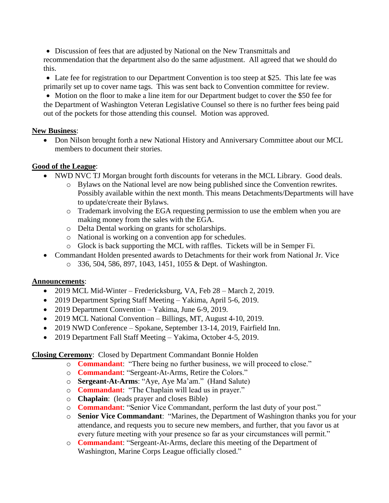• Discussion of fees that are adjusted by National on the New Transmittals and recommendation that the department also do the same adjustment. All agreed that we should do this.

• Late fee for registration to our Department Convention is too steep at \$25. This late fee was primarily set up to cover name tags. This was sent back to Convention committee for review.

• Motion on the floor to make a line item for our Department budget to cover the \$50 fee for the Department of Washington Veteran Legislative Counsel so there is no further fees being paid out of the pockets for those attending this counsel. Motion was approved.

### **New Business**:

• Don Nilson brought forth a new National History and Anniversary Committee about our MCL members to document their stories.

# **Good of the League**:

- NWD NVC TJ Morgan brought forth discounts for veterans in the MCL Library. Good deals.
	- o Bylaws on the National level are now being published since the Convention rewrites. Possibly available within the next month. This means Detachments/Departments will have to update/create their Bylaws.
	- o Trademark involving the EGA requesting permission to use the emblem when you are making money from the sales with the EGA.
	- o Delta Dental working on grants for scholarships.
	- o National is working on a convention app for schedules.
	- o Glock is back supporting the MCL with raffles. Tickets will be in Semper Fi.
- Commandant Holden presented awards to Detachments for their work from National Jr. Vice o 336, 504, 586, 897, 1043, 1451, 1055 & Dept. of Washington.

# **Announcements**:

- 2019 MCL Mid-Winter Fredericksburg, VA, Feb 28 March 2, 2019.
- 2019 Department Spring Staff Meeting Yakima, April 5-6, 2019.
- 2019 Department Convention Yakima, June 6-9, 2019.
- 2019 MCL National Convention Billings, MT, August 4-10, 2019.
- 2019 NWD Conference Spokane, September 13-14, 2019, Fairfield Inn.
- 2019 Department Fall Staff Meeting Yakima, October 4-5, 2019.

**Closing Ceremony**: Closed by Department Commandant Bonnie Holden

- o **Commandant**: "There being no further business, we will proceed to close."
- o **Commandant**: "Sergeant-At-Arms, Retire the Colors."
- o **Sergeant-At-Arms**: "Aye, Aye Ma'am." (Hand Salute)
- o **Commandant**: "The Chaplain will lead us in prayer."
- o **Chaplain**: (leads prayer and closes Bible)
- o **Commandant**: "Senior Vice Commandant, perform the last duty of your post."
- o **Senior Vice Commandant**: "Marines, the Department of Washington thanks you for your attendance, and requests you to secure new members, and further, that you favor us at every future meeting with your presence so far as your circumstances will permit."
- o **Commandant**: "Sergeant-At-Arms, declare this meeting of the Department of Washington, Marine Corps League officially closed."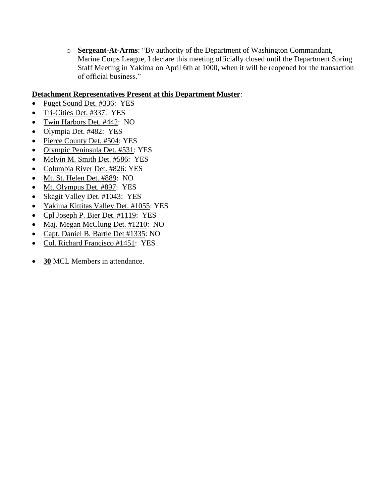o **Sergeant-At-Arms**: "By authority of the Department of Washington Commandant, Marine Corps League, I declare this meeting officially closed until the Department Spring Staff Meeting in Yakima on April 6th at 1000, when it will be reopened for the transaction of official business."

### **Detachment Representatives Present at this Department Muster**:

- Puget Sound Det. #336: YES
- Tri-Cities Det. #337: YES
- Twin Harbors Det. #442: NO
- Olympia Det. #482: YES
- Pierce County Det. #504: YES
- Olympic Peninsula Det. #531: YES
- Melvin M. Smith Det. #586: YES
- Columbia River Det. #826: YES
- Mt. St. Helen Det. #889: NO
- Mt. Olympus Det. #897: YES
- Skagit Valley Det. #1043: YES
- Yakima Kittitas Valley Det. #1055: YES
- Cpl Joseph P. Bier Det. #1119: YES
- Maj. Megan McClung Det. #1210: NO
- Capt. Daniel B. Bartle Det #1335: NO
- Col. Richard Francisco #1451: YES
- **30** MCL Members in attendance.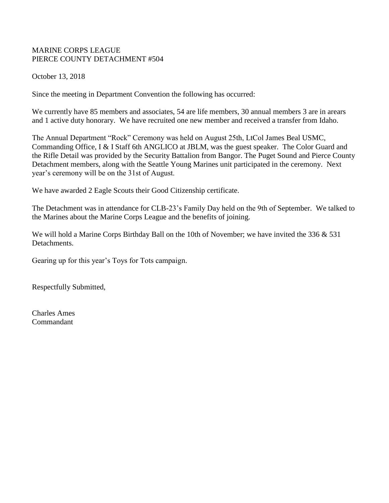### MARINE CORPS LEAGUE PIERCE COUNTY DETACHMENT #504

October 13, 2018

Since the meeting in Department Convention the following has occurred:

We currently have 85 members and associates, 54 are life members, 30 annual members 3 are in arears and 1 active duty honorary. We have recruited one new member and received a transfer from Idaho.

The Annual Department "Rock" Ceremony was held on August 25th, LtCol James Beal USMC, Commanding Office, I & I Staff 6th ANGLICO at JBLM, was the guest speaker. The Color Guard and the Rifle Detail was provided by the Security Battalion from Bangor. The Puget Sound and Pierce County Detachment members, along with the Seattle Young Marines unit participated in the ceremony. Next year's ceremony will be on the 31st of August.

We have awarded 2 Eagle Scouts their Good Citizenship certificate.

The Detachment was in attendance for CLB-23's Family Day held on the 9th of September. We talked to the Marines about the Marine Corps League and the benefits of joining.

We will hold a Marine Corps Birthday Ball on the 10th of November; we have invited the 336 & 531 Detachments.

Gearing up for this year's Toys for Tots campaign.

Respectfully Submitted,

Charles Ames Commandant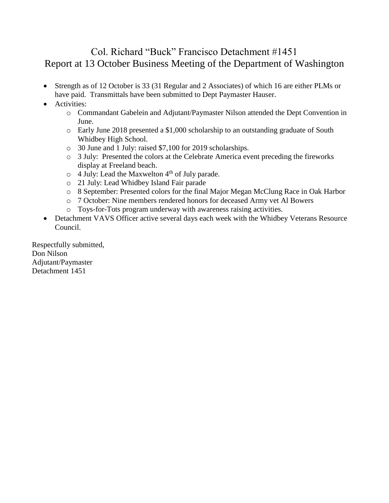# Col. Richard "Buck" Francisco Detachment #1451 Report at 13 October Business Meeting of the Department of Washington

- Strength as of 12 October is 33 (31 Regular and 2 Associates) of which 16 are either PLMs or have paid. Transmittals have been submitted to Dept Paymaster Hauser.
- Activities:
	- o Commandant Gabelein and Adjutant/Paymaster Nilson attended the Dept Convention in June.
	- o Early June 2018 presented a \$1,000 scholarship to an outstanding graduate of South Whidbey High School.
	- o 30 June and 1 July: raised \$7,100 for 2019 scholarships.
	- o 3 July: Presented the colors at the Celebrate America event preceding the fireworks display at Freeland beach.
	- $\circ$  4 July: Lead the Maxwelton 4<sup>th</sup> of July parade.
	- o 21 July: Lead Whidbey Island Fair parade
	- o 8 September: Presented colors for the final Major Megan McClung Race in Oak Harbor
	- o 7 October: Nine members rendered honors for deceased Army vet Al Bowers
	- o Toys-for-Tots program underway with awareness raising activities.
- Detachment VAVS Officer active several days each week with the Whidbey Veterans Resource Council.

Respectfully submitted, Don Nilson Adjutant/Paymaster Detachment 1451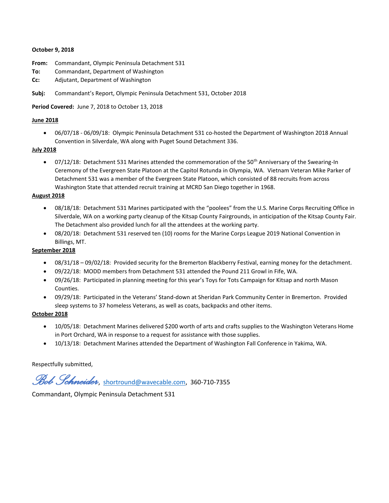#### **October 9, 2018**

- **From:** Commandant, Olympic Peninsula Detachment 531
- **To:** Commandant, Department of Washington
- **Cc:** Adjutant, Department of Washington
- **Subj:** Commandant's Report, Olympic Peninsula Detachment 531, October 2018

**Period Covered:** June 7, 2018 to October 13, 2018

#### **June 2018**

• 06/07/18 - 06/09/18: Olympic Peninsula Detachment 531 co-hosted the Department of Washington 2018 Annual Convention in Silverdale, WA along with Puget Sound Detachment 336.

#### **July 2018**

• 07/12/18: Detachment 531 Marines attended the commemoration of the 50<sup>th</sup> Anniversary of the Swearing-In Ceremony of the Evergreen State Platoon at the Capitol Rotunda in Olympia, WA. Vietnam Veteran Mike Parker of Detachment 531 was a member of the Evergreen State Platoon, which consisted of 88 recruits from across Washington State that attended recruit training at MCRD San Diego together in 1968.

#### **August 2018**

- 08/18/18: Detachment 531 Marines participated with the "poolees" from the U.S. Marine Corps Recruiting Office in Silverdale, WA on a working party cleanup of the Kitsap County Fairgrounds, in anticipation of the Kitsap County Fair. The Detachment also provided lunch for all the attendees at the working party.
- 08/20/18: Detachment 531 reserved ten (10) rooms for the Marine Corps League 2019 National Convention in Billings, MT.

#### **September 2018**

- 08/31/18 09/02/18: Provided security for the Bremerton Blackberry Festival, earning money for the detachment.
- 09/22/18: MODD members from Detachment 531 attended the Pound 211 Growl in Fife, WA.
- 09/26/18: Participated in planning meeting for this year's Toys for Tots Campaign for Kitsap and north Mason Counties.
- 09/29/18: Participated in the Veterans' Stand-down at Sheridan Park Community Center in Bremerton. Provided sleep systems to 37 homeless Veterans, as well as coats, backpacks and other items.

#### **October 2018**

- 10/05/18: Detachment Marines delivered \$200 worth of arts and crafts supplies to the Washington Veterans Home in Port Orchard, WA in response to a request for assistance with those supplies.
- 10/13/18: Detachment Marines attended the Department of Washington Fall Conference in Yakima, WA.

Respectfully submitted,

*Bob Schneider*, [shortround@wavecable.com,](mailto:shortround@wavecable.com) 360-710-7355

Commandant, Olympic Peninsula Detachment 531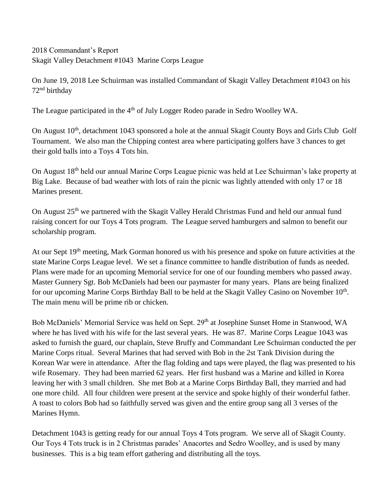2018 Commandant's Report Skagit Valley Detachment #1043 Marine Corps League

On June 19, 2018 Lee Schuirman was installed Commandant of Skagit Valley Detachment #1043 on his 72nd birthday

The League participated in the 4<sup>th</sup> of July Logger Rodeo parade in Sedro Woolley WA.

On August 10<sup>th</sup>, detachment 1043 sponsored a hole at the annual Skagit County Boys and Girls Club Golf Tournament. We also man the Chipping contest area where participating golfers have 3 chances to get their gold balls into a Toys 4 Tots bin.

On August 18th held our annual Marine Corps League picnic was held at Lee Schuirman's lake property at Big Lake. Because of bad weather with lots of rain the picnic was lightly attended with only 17 or 18 Marines present.

On August 25<sup>th</sup> we partnered with the Skagit Valley Herald Christmas Fund and held our annual fund raising concert for our Toys 4 Tots program. The League served hamburgers and salmon to benefit our scholarship program.

At our Sept 19<sup>th</sup> meeting, Mark Gorman honored us with his presence and spoke on future activities at the state Marine Corps League level. We set a finance committee to handle distribution of funds as needed. Plans were made for an upcoming Memorial service for one of our founding members who passed away. Master Gunnery Sgt. Bob McDaniels had been our paymaster for many years. Plans are being finalized for our upcoming Marine Corps Birthday Ball to be held at the Skagit Valley Casino on November  $10^{th}$ . The main menu will be prime rib or chicken.

Bob McDaniels' Memorial Service was held on Sept. 29<sup>th</sup> at Josephine Sunset Home in Stanwood, WA where he has lived with his wife for the last several years. He was 87. Marine Corps League 1043 was asked to furnish the guard, our chaplain, Steve Bruffy and Commandant Lee Schuirman conducted the per Marine Corps ritual. Several Marines that had served with Bob in the 2st Tank Division during the Korean War were in attendance. After the flag folding and taps were played, the flag was presented to his wife Rosemary. They had been married 62 years. Her first husband was a Marine and killed in Korea leaving her with 3 small children. She met Bob at a Marine Corps Birthday Ball, they married and had one more child. All four children were present at the service and spoke highly of their wonderful father. A toast to colors Bob had so faithfully served was given and the entire group sang all 3 verses of the Marines Hymn.

Detachment 1043 is getting ready for our annual Toys 4 Tots program. We serve all of Skagit County. Our Toys 4 Tots truck is in 2 Christmas parades' Anacortes and Sedro Woolley, and is used by many businesses. This is a big team effort gathering and distributing all the toys.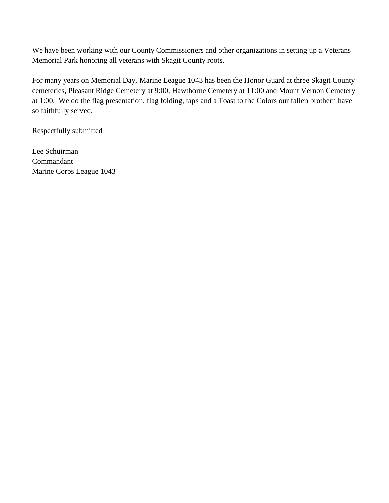We have been working with our County Commissioners and other organizations in setting up a Veterans Memorial Park honoring all veterans with Skagit County roots.

For many years on Memorial Day, Marine League 1043 has been the Honor Guard at three Skagit County cemeteries, Pleasant Ridge Cemetery at 9:00, Hawthorne Cemetery at 11:00 and Mount Vernon Cemetery at 1:00. We do the flag presentation, flag folding, taps and a Toast to the Colors our fallen brothern have so faithfully served.

Respectfully submitted

Lee Schuirman Commandant Marine Corps League 1043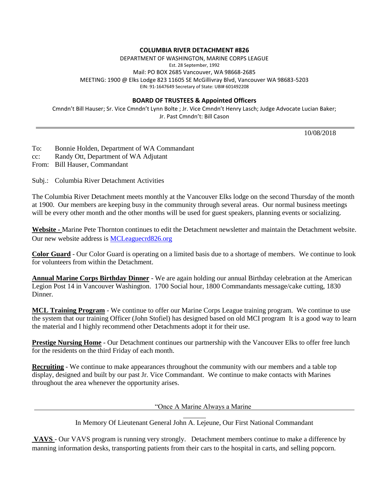#### **COLUMBIA RIVER DETACHMENT #826**

DEPARTMENT OF WASHINGTON, MARINE CORPS LEAGUE Est. 28 September, 1992 Mail: PO BOX 2685 Vancouver, WA 98668-2685 MEETING: 1900 @ Elks Lodge 823 11605 SE McGillivray Blvd, Vancouver WA 98683-5203 EIN: 91-1647649 Secretary of State: UBI# 601492208

#### **BOARD OF TRUSTEES & Appointed Officers**

Cmndn't Bill Hauser; Sr. Vice Cmndn't Lynn Bolte ; Jr. Vice Cmndn't Henry Lasch; Judge Advocate Lucian Baker; Jr. Past Cmndn't: Bill Cason

10/08/2018

To: Bonnie Holden, Department of WA Commandant

cc: Randy Ott, Department of WA Adjutant

From: Bill Hauser, Commandant

Subj.: Columbia River Detachment Activities

The Columbia River Detachment meets monthly at the Vancouver Elks lodge on the second Thursday of the month at 1900. Our members are keeping busy in the community through several areas. Our normal business meetings will be every other month and the other months will be used for guest speakers, planning events or socializing.

**Website -** Marine Pete Thornton continues to edit the Detachment newsletter and maintain the Detachment website. Our new website address is [MCLeaguecrd826.org](https://eur01.safelinks.protection.outlook.com/?url=http%3A%2F%2Fwww.MCLeaguecrd826.org&data=02%7C01%7C%7C9acee5c28f754d3bdc4b08d5999c3401%7C84df9e7fe9f640afb435aaaaaaaaaaaa%7C1%7C0%7C636583818519814582&sdata=tuot%2F5uP8a5ZC33tBkLbbbhdpPF%2F4uklTCrzgIHY9GI%3D&reserved=0)

**Color Guard** - Our Color Guard is operating on a limited basis due to a shortage of members. We continue to look for volunteers from within the Detachment.

**Annual Marine Corps Birthday Dinner** - We are again holding our annual Birthday celebration at the American Legion Post 14 in Vancouver Washington. 1700 Social hour, 1800 Commandants message/cake cutting, 1830 Dinner.

**MCL Training Program** - We continue to offer our Marine Corps League training program. We continue to use the system that our training Officer (John Stofiel) has designed based on old MCI program It is a good way to learn the material and I highly recommend other Detachments adopt it for their use.

**Prestige Nursing Home** - Our Detachment continues our partnership with the Vancouver Elks to offer free lunch for the residents on the third Friday of each month.

**Recruiting** - We continue to make appearances throughout the community with our members and a table top display, designed and built by our past Jr. Vice Commandant. We continue to make contacts with Marines throughout the area whenever the opportunity arises.

"Once A Marine Always a Marine

In Memory Of Lieutenant General John A. Lejeune, Our First National Commandant

**VAVS** - Our VAVS program is running very strongly. Detachment members continue to make a difference by manning information desks, transporting patients from their cars to the hospital in carts, and selling popcorn.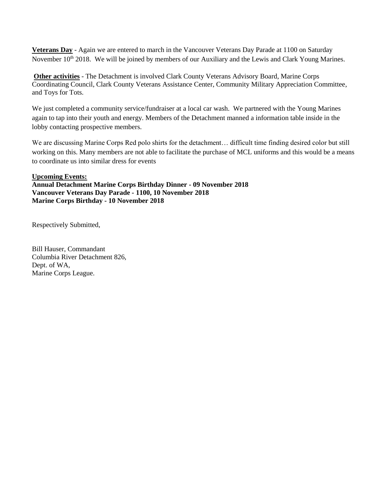**Veterans Day** - Again we are entered to march in the Vancouver Veterans Day Parade at 1100 on Saturday November 10<sup>th</sup> 2018. We will be joined by members of our Auxiliary and the Lewis and Clark Young Marines.

**Other activities** - The Detachment is involved Clark County Veterans Advisory Board, Marine Corps Coordinating Council, Clark County Veterans Assistance Center, Community Military Appreciation Committee, and Toys for Tots.

We just completed a community service/fundraiser at a local car wash. We partnered with the Young Marines again to tap into their youth and energy. Members of the Detachment manned a information table inside in the lobby contacting prospective members.

We are discussing Marine Corps Red polo shirts for the detachment… difficult time finding desired color but still working on this. Many members are not able to facilitate the purchase of MCL uniforms and this would be a means to coordinate us into similar dress for events

#### **Upcoming Events:**

**Annual Detachment Marine Corps Birthday Dinner - 09 November 2018 Vancouver Veterans Day Parade - 1100, 10 November 2018 Marine Corps Birthday - 10 November 2018**

Respectively Submitted,

Bill Hauser, Commandant Columbia River Detachment 826, Dept. of WA, Marine Corps League.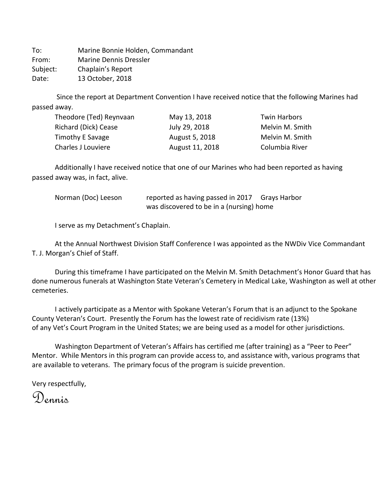To: Marine Bonnie Holden, Commandant From: Marine Dennis Dressler Subject: Chaplain's Report Date: 13 October, 2018

 Since the report at Department Convention I have received notice that the following Marines had passed away.

| Theodore (Ted) Reynvaan | May 13, 2018    | <b>Twin Harbors</b> |
|-------------------------|-----------------|---------------------|
| Richard (Dick) Cease    | July 29, 2018   | Melvin M. Smith     |
| Timothy E Savage        | August 5, 2018  | Melvin M. Smith     |
| Charles J Louviere      | August 11, 2018 | Columbia River      |

Additionally I have received notice that one of our Marines who had been reported as having passed away was, in fact, alive.

| Norman (Doc) Leeson | reported as having passed in 2017 Grays Harbor |  |
|---------------------|------------------------------------------------|--|
|                     | was discovered to be in a (nursing) home       |  |

I serve as my Detachment's Chaplain.

At the Annual Northwest Division Staff Conference I was appointed as the NWDiv Vice Commandant T. J. Morgan's Chief of Staff.

During this timeframe I have participated on the Melvin M. Smith Detachment's Honor Guard that has done numerous funerals at Washington State Veteran's Cemetery in Medical Lake, Washington as well at other cemeteries.

I actively participate as a Mentor with Spokane Veteran's Forum that is an adjunct to the Spokane County Veteran's Court. Presently the Forum has the lowest rate of recidivism rate (13%) of any Vet's Court Program in the United States; we are being used as a model for other jurisdictions.

Washington Department of Veteran's Affairs has certified me (after training) as a "Peer to Peer" Mentor. While Mentors in this program can provide access to, and assistance with, various programs that are available to veterans. The primary focus of the program is suicide prevention.

Very respectfully,

Dennis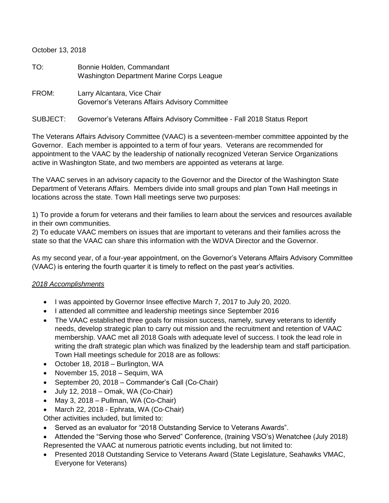October 13, 2018

| TO: | Bonnie Holden, Commandant                 |
|-----|-------------------------------------------|
|     | Washington Department Marine Corps League |

FROM: Larry Alcantara, Vice Chair Governor's Veterans Affairs Advisory Committee

#### SUBJECT: Governor's Veterans Affairs Advisory Committee - Fall 2018 Status Report

The Veterans Affairs Advisory Committee (VAAC) is a seventeen-member committee appointed by the Governor. Each member is appointed to a term of four years. Veterans are recommended for appointment to the VAAC by the leadership of nationally recognized Veteran Service Organizations active in Washington State, and two members are appointed as veterans at large.

The VAAC serves in an advisory capacity to the Governor and the Director of the Washington State Department of Veterans Affairs. Members divide into small groups and plan Town Hall meetings in locations across the state. Town Hall meetings serve two purposes:

1) To provide a forum for veterans and their families to learn about the services and resources available in their own communities.

2) To educate VAAC members on issues that are important to veterans and their families across the state so that the VAAC can share this information with the WDVA Director and the Governor.

As my second year, of a four-year appointment, on the Governor's Veterans Affairs Advisory Committee (VAAC) is entering the fourth quarter it is timely to reflect on the past year's activities.

### *2018 Accomplishments*

- I was appointed by Governor Insee effective March 7, 2017 to July 20, 2020.
- I attended all committee and leadership meetings since September 2016
- The VAAC established three goals for mission success, namely, survey veterans to identify needs, develop strategic plan to carry out mission and the recruitment and retention of VAAC membership. VAAC met all 2018 Goals with adequate level of success. I took the lead role in writing the draft strategic plan which was finalized by the leadership team and staff participation. Town Hall meetings schedule for 2018 are as follows:
- October 18, 2018 Burlington, WA
- November 15, 2018 Sequim, WA
- September 20, 2018 Commander's Call (Co-Chair)
- $\bullet$  July 12, 2018 Omak, WA (Co-Chair)
- May 3, 2018 Pullman, WA (Co-Chair)
- March 22, 2018 Ephrata, WA (Co-Chair)
- Other activities included, but limited to:
- Served as an evaluator for "2018 Outstanding Service to Veterans Awards".

• Attended the "Serving those who Served" Conference, (training VSO's) Wenatchee (July 2018) Represented the VAAC at numerous patriotic events including, but not limited to:

• Presented 2018 Outstanding Service to Veterans Award (State Legislature, Seahawks VMAC, Everyone for Veterans)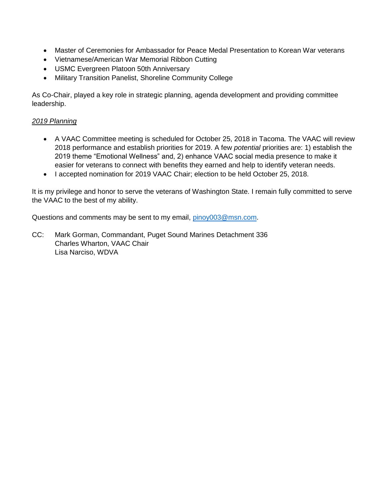- Master of Ceremonies for Ambassador for Peace Medal Presentation to Korean War veterans
- Vietnamese/American War Memorial Ribbon Cutting
- USMC Evergreen Platoon 50th Anniversary
- Military Transition Panelist, Shoreline Community College

As Co-Chair, played a key role in strategic planning, agenda development and providing committee leadership.

### *2019 Planning*

- A VAAC Committee meeting is scheduled for October 25, 2018 in Tacoma. The VAAC will review 2018 performance and establish priorities for 2019. A few *potential* priorities are: 1) establish the 2019 theme "Emotional Wellness" and, 2) enhance VAAC social media presence to make it easier for veterans to connect with benefits they earned and help to identify veteran needs.
- I accepted nomination for 2019 VAAC Chair; election to be held October 25, 2018.

It is my privilege and honor to serve the veterans of Washington State. I remain fully committed to serve the VAAC to the best of my ability.

Questions and comments may be sent to my email, [pinoy003@msn.com.](mailto:pinoy003@msn.com)

CC: Mark Gorman, Commandant, Puget Sound Marines Detachment 336 Charles Wharton, VAAC Chair Lisa Narciso, WDVA